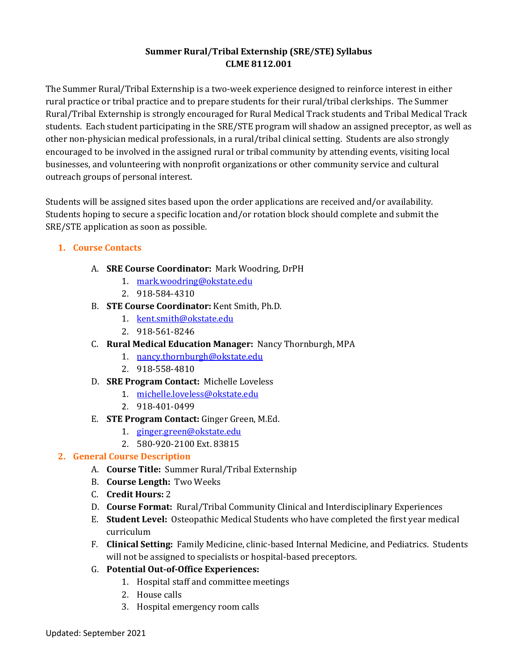# **Summer Rural/Tribal Externship (SRE/STE) Syllabus CLME 8112.001**

The Summer Rural/Tribal Externship is a two-week experience designed to reinforce interest in either rural practice or tribal practice and to prepare students for their rural/tribal clerkships. The Summer Rural/Tribal Externship is strongly encouraged for Rural Medical Track students and Tribal Medical Track students. Each student participating in the SRE/STE program will shadow an assigned preceptor, as well as other non-physician medical professionals, in a rural/tribal clinical setting. Students are also strongly encouraged to be involved in the assigned rural or tribal community by attending events, visiting local businesses, and volunteering with nonprofit organizations or other community service and cultural outreach groups of personal interest.

Students will be assigned sites based upon the order applications are received and/or availability. Students hoping to secure a specific location and/or rotation block should complete and submit the SRE/STE application as soon as possible.

# **1. Course Contacts**

- A. **SRE Course Coordinator:** Mark Woodring, DrPH
	- 1. [mark.woodring@okstate.edu](mailto:duane.koehler@okstate.edu)
	- 2. 918-584-4310
- B. **STE Course Coordinator:** Kent Smith, Ph.D.
	- 1. [kent.smith@okstate.edu](mailto:kent.smith@okstate.edu)
	- 2. 918-561-8246
- C. **Rural Medical Education Manager:** Nancy Thornburgh, MPA
	- 1. [nancy.thornburgh@okstate.edu](mailto:nancy.thornburgh@okstate.edu)
	- 2. 918-558-4810
- D. **SRE Program Contact:** Michelle Loveless
	- 1. [michelle.loveless@okstate.edu](mailto:michelle.loveless@okstate.edu)
	- 2. 918-401-0499
- E. **STE Program Contact:** Ginger Green, M.Ed.
	- 1. [ginger.green@okstate.edu](mailto:ginger.green@okstate.edu)
	- 2. 580-920-2100 Ext. 83815

# **2. General Course Description**

- A. **Course Title:** Summer Rural/Tribal Externship
- B. **Course Length:** Two Weeks
- C. **Credit Hours:** 2
- D. **Course Format:** Rural/Tribal Community Clinical and Interdisciplinary Experiences
- E. **Student Level:** Osteopathic Medical Students who have completed the first year medical curriculum
- F. **Clinical Setting:** Family Medicine, clinic-based Internal Medicine, and Pediatrics. Students will not be assigned to specialists or hospital-based preceptors.
- G. **Potential Out-of-Office Experiences:**
	- 1. Hospital staff and committee meetings
	- 2. House calls
	- 3. Hospital emergency room calls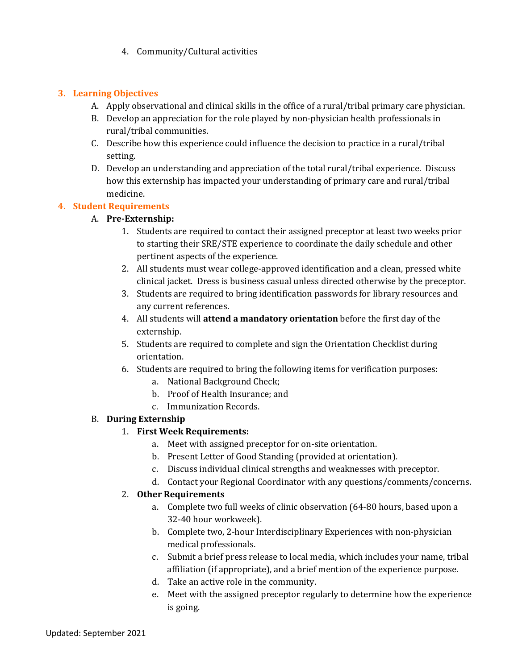4. Community/Cultural activities

### **3. Learning Objectives**

- A. Apply observational and clinical skills in the office of a rural/tribal primary care physician.
- B. Develop an appreciation for the role played by non-physician health professionals in rural/tribal communities.
- C. Describe how this experience could influence the decision to practice in a rural/tribal setting.
- D. Develop an understanding and appreciation of the total rural/tribal experience. Discuss how this externship has impacted your understanding of primary care and rural/tribal medicine.

# **4. Student Requirements**

# A. **Pre-Externship:**

- 1. Students are required to contact their assigned preceptor at least two weeks prior to starting their SRE/STE experience to coordinate the daily schedule and other pertinent aspects of the experience.
- 2. All students must wear college-approved identification and a clean, pressed white clinical jacket. Dress is business casual unless directed otherwise by the preceptor.
- 3. Students are required to bring identification passwords for library resources and any current references.
- 4. All students will **attend a mandatory orientation** before the first day of the externship.
- 5. Students are required to complete and sign the Orientation Checklist during orientation.
- 6. Students are required to bring the following items for verification purposes:
	- a. National Background Check;
	- b. Proof of Health Insurance; and
	- c. Immunization Records.

### B. **During Externship**

### 1. **First Week Requirements:**

- a. Meet with assigned preceptor for on-site orientation.
- b. Present Letter of Good Standing (provided at orientation).
- c. Discuss individual clinical strengths and weaknesses with preceptor.
- d. Contact your Regional Coordinator with any questions/comments/concerns.

### 2. **Other Requirements**

- a. Complete two full weeks of clinic observation (64-80 hours, based upon a 32-40 hour workweek).
- b. Complete two, 2-hour Interdisciplinary Experiences with non-physician medical professionals.
- c. Submit a brief press release to local media, which includes your name, tribal affiliation (if appropriate), and a brief mention of the experience purpose.
- d. Take an active role in the community.
- e. Meet with the assigned preceptor regularly to determine how the experience is going.